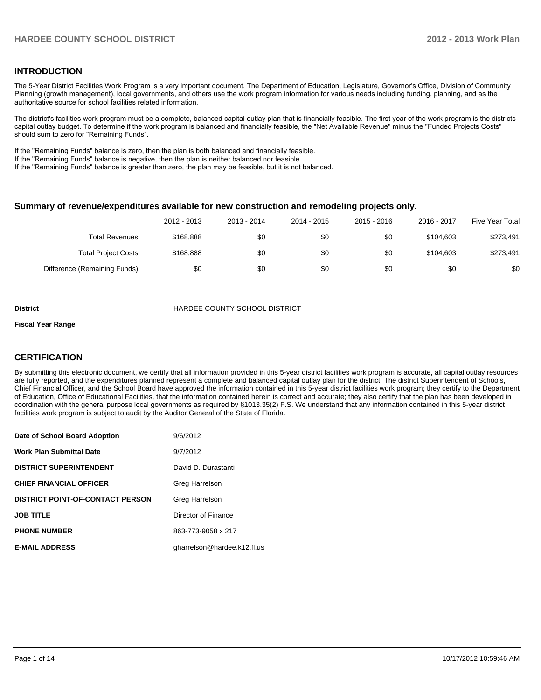#### **INTRODUCTION**

The 5-Year District Facilities Work Program is a very important document. The Department of Education, Legislature, Governor's Office, Division of Community Planning (growth management), local governments, and others use the work program information for various needs including funding, planning, and as the authoritative source for school facilities related information.

The district's facilities work program must be a complete, balanced capital outlay plan that is financially feasible. The first year of the work program is the districts capital outlay budget. To determine if the work program is balanced and financially feasible, the "Net Available Revenue" minus the "Funded Projects Costs" should sum to zero for "Remaining Funds".

If the "Remaining Funds" balance is zero, then the plan is both balanced and financially feasible.

If the "Remaining Funds" balance is negative, then the plan is neither balanced nor feasible.

If the "Remaining Funds" balance is greater than zero, the plan may be feasible, but it is not balanced.

#### **Summary of revenue/expenditures available for new construction and remodeling projects only.**

|                              | 2012 - 2013 | 2013 - 2014 | 2014 - 2015 | 2015 - 2016 | 2016 - 2017 | <b>Five Year Total</b> |
|------------------------------|-------------|-------------|-------------|-------------|-------------|------------------------|
| <b>Total Revenues</b>        | \$168.888   | \$0         | \$0         | \$0         | \$104.603   | \$273,491              |
| <b>Total Project Costs</b>   | \$168,888   | \$0         | \$0         | \$0         | \$104.603   | \$273,491              |
| Difference (Remaining Funds) | \$0         | \$0         | \$0         | \$0         | \$0         | \$0                    |

**District COUNTY SCHOOL DISTRICT** 

#### **Fiscal Year Range**

#### **CERTIFICATION**

By submitting this electronic document, we certify that all information provided in this 5-year district facilities work program is accurate, all capital outlay resources are fully reported, and the expenditures planned represent a complete and balanced capital outlay plan for the district. The district Superintendent of Schools, Chief Financial Officer, and the School Board have approved the information contained in this 5-year district facilities work program; they certify to the Department of Education, Office of Educational Facilities, that the information contained herein is correct and accurate; they also certify that the plan has been developed in coordination with the general purpose local governments as required by §1013.35(2) F.S. We understand that any information contained in this 5-year district facilities work program is subject to audit by the Auditor General of the State of Florida.

| Date of School Board Adoption           | 9/6/2012                    |
|-----------------------------------------|-----------------------------|
| <b>Work Plan Submittal Date</b>         | 9/7/2012                    |
| <b>DISTRICT SUPERINTENDENT</b>          | David D. Durastanti         |
| <b>CHIEF FINANCIAL OFFICER</b>          | Greg Harrelson              |
| <b>DISTRICT POINT-OF-CONTACT PERSON</b> | Greg Harrelson              |
| <b>JOB TITLE</b>                        | Director of Finance         |
| <b>PHONE NUMBER</b>                     | 863-773-9058 x 217          |
| <b>E-MAIL ADDRESS</b>                   | gharrelson@hardee.k12.fl.us |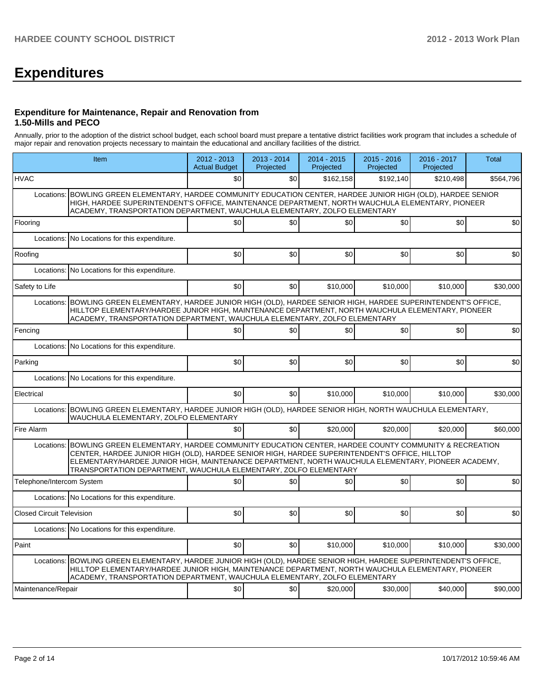# **Expenditures**

#### **Expenditure for Maintenance, Repair and Renovation from 1.50-Mills and PECO**

Annually, prior to the adoption of the district school budget, each school board must prepare a tentative district facilities work program that includes a schedule of major repair and renovation projects necessary to maintain the educational and ancillary facilities of the district.

|                                  | Item                                                                                                                                                                                                                                                                                                                                                                         | 2012 - 2013<br><b>Actual Budget</b> | $2013 - 2014$<br>Projected | $2014 - 2015$<br>Projected | $2015 - 2016$<br>Projected | 2016 - 2017<br>Projected | <b>Total</b> |  |  |  |  |
|----------------------------------|------------------------------------------------------------------------------------------------------------------------------------------------------------------------------------------------------------------------------------------------------------------------------------------------------------------------------------------------------------------------------|-------------------------------------|----------------------------|----------------------------|----------------------------|--------------------------|--------------|--|--|--|--|
| <b>HVAC</b>                      |                                                                                                                                                                                                                                                                                                                                                                              | \$0                                 | \$0                        | \$162.158                  | \$192.140                  | \$210,498                | \$564,796    |  |  |  |  |
| Locations:                       | BOWLING GREEN ELEMENTARY, HARDEE COMMUNITY EDUCATION CENTER, HARDEE JUNIOR HIGH (OLD), HARDEE SENIOR<br>HIGH, HARDEE SUPERINTENDENT'S OFFICE, MAINTENANCE DEPARTMENT, NORTH WAUCHULA ELEMENTARY, PIONEER<br>ACADEMY, TRANSPORTATION DEPARTMENT, WAUCHULA ELEMENTARY, ZOLFO ELEMENTARY                                                                                        |                                     |                            |                            |                            |                          |              |  |  |  |  |
| Flooring                         | \$0<br>\$0 <br> 30 <br>\$0<br>\$0                                                                                                                                                                                                                                                                                                                                            |                                     |                            |                            |                            |                          |              |  |  |  |  |
|                                  | Locations: No Locations for this expenditure.                                                                                                                                                                                                                                                                                                                                |                                     |                            |                            |                            |                          |              |  |  |  |  |
| Roofing                          |                                                                                                                                                                                                                                                                                                                                                                              | \$0                                 | 30                         | \$0                        | \$0                        | \$0                      | \$0          |  |  |  |  |
|                                  | Locations: No Locations for this expenditure.                                                                                                                                                                                                                                                                                                                                |                                     |                            |                            |                            |                          |              |  |  |  |  |
| Safety to Life                   |                                                                                                                                                                                                                                                                                                                                                                              | \$0                                 | \$0                        | \$10,000                   | \$10,000                   | \$10,000                 | \$30,000     |  |  |  |  |
| Locations:                       | BOWLING GREEN ELEMENTARY, HARDEE JUNIOR HIGH (OLD), HARDEE SENIOR HIGH, HARDEE SUPERINTENDENT'S OFFICE,<br>HILLTOP ELEMENTARY/HARDEE JUNIOR HIGH, MAINTENANCE DEPARTMENT, NORTH WAUCHULA ELEMENTARY, PIONEER<br>ACADEMY, TRANSPORTATION DEPARTMENT, WAUCHULA ELEMENTARY, ZOLFO ELEMENTARY                                                                                    |                                     |                            |                            |                            |                          |              |  |  |  |  |
| Fencing                          |                                                                                                                                                                                                                                                                                                                                                                              | \$0                                 | \$0                        | 30                         | \$0                        | \$0                      | \$0          |  |  |  |  |
|                                  | Locations: No Locations for this expenditure.                                                                                                                                                                                                                                                                                                                                |                                     |                            |                            |                            |                          |              |  |  |  |  |
| Parking                          |                                                                                                                                                                                                                                                                                                                                                                              | \$0                                 | 30                         | \$0                        | \$0                        | \$0                      | \$0          |  |  |  |  |
|                                  | Locations: No Locations for this expenditure.                                                                                                                                                                                                                                                                                                                                |                                     |                            |                            |                            |                          |              |  |  |  |  |
| Electrical                       |                                                                                                                                                                                                                                                                                                                                                                              | \$0                                 | \$0                        | \$10.000                   | \$10,000                   | \$10,000                 | \$30,000     |  |  |  |  |
|                                  | Locations: BOWLING GREEN ELEMENTARY, HARDEE JUNIOR HIGH (OLD), HARDEE SENIOR HIGH, NORTH WAUCHULA ELEMENTARY,<br>WAUCHULA ELEMENTARY, ZOLFO ELEMENTARY                                                                                                                                                                                                                       |                                     |                            |                            |                            |                          |              |  |  |  |  |
| Fire Alarm                       |                                                                                                                                                                                                                                                                                                                                                                              | \$0                                 | \$0                        | \$20,000                   | \$20,000                   | \$20,000                 | \$60,000     |  |  |  |  |
| Locations:                       | BOWLING GREEN ELEMENTARY, HARDEE COMMUNITY EDUCATION CENTER, HARDEE COUNTY COMMUNITY & RECREATION<br>CENTER, HARDEE JUNIOR HIGH (OLD), HARDEE SENIOR HIGH, HARDEE SUPERINTENDENT'S OFFICE, HILLTOP<br>ELEMENTARY/HARDEE JUNIOR HIGH, MAINTENANCE DEPARTMENT, NORTH WAUCHULA ELEMENTARY, PIONEER ACADEMY,<br>TRANSPORTATION DEPARTMENT, WAUCHULA ELEMENTARY, ZOLFO ELEMENTARY |                                     |                            |                            |                            |                          |              |  |  |  |  |
| Telephone/Intercom System        |                                                                                                                                                                                                                                                                                                                                                                              | \$0                                 | 30                         | \$0                        | \$0                        | \$0                      | \$0          |  |  |  |  |
|                                  | Locations: No Locations for this expenditure.                                                                                                                                                                                                                                                                                                                                |                                     |                            |                            |                            |                          |              |  |  |  |  |
| <b>Closed Circuit Television</b> |                                                                                                                                                                                                                                                                                                                                                                              | \$0                                 | \$0                        | \$0                        | \$0                        | \$0                      | \$0          |  |  |  |  |
|                                  | Locations: No Locations for this expenditure.                                                                                                                                                                                                                                                                                                                                |                                     |                            |                            |                            |                          |              |  |  |  |  |
| Paint                            |                                                                                                                                                                                                                                                                                                                                                                              | \$0                                 | \$0                        | \$10,000                   | \$10,000                   | \$10,000                 | \$30,000     |  |  |  |  |
|                                  | Locations: BOWLING GREEN ELEMENTARY, HARDEE JUNIOR HIGH (OLD), HARDEE SENIOR HIGH, HARDEE SUPERINTENDENT'S OFFICE,<br>HILLTOP ELEMENTARY/HARDEE JUNIOR HIGH, MAINTENANCE DEPARTMENT, NORTH WAUCHULA ELEMENTARY, PIONEER<br>ACADEMY, TRANSPORTATION DEPARTMENT, WAUCHULA ELEMENTARY, ZOLFO ELEMENTARY                                                                         |                                     |                            |                            |                            |                          |              |  |  |  |  |
| Maintenance/Repair               |                                                                                                                                                                                                                                                                                                                                                                              | \$0                                 | \$0                        | \$20,000                   | \$30,000                   | \$40,000                 | \$90,000     |  |  |  |  |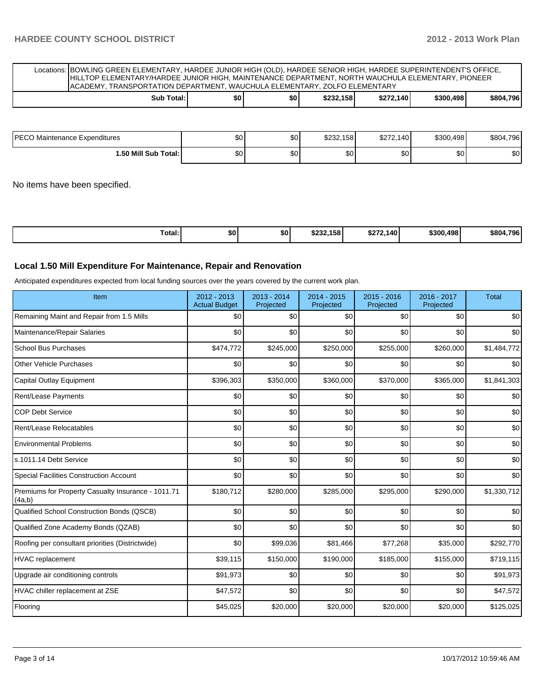Locations: BOWLING GREEN ELEMENTARY, HARDEE JUNIOR HIGH (OLD), HARDEE SENIOR HIGH, HARDEE SUPERINTENDENT'S OFFICE, HILLTOP ELEMENTARY/HARDEE JUNIOR HIGH, MAINTENANCE DEPARTMENT, NORTH WAUCHULA ELEMENTARY, PIONEER ACADEMY, TRANSPORTATION DEPARTMENT, WAUCHULA ELEMENTARY, ZOLFO ELEMENTARY **Sub Total: \$0 \$0 \$232,158 \$272,140 \$300,498 \$804,796**

| <b>IPECO</b><br>) Maintenance Expenditures | \$0 <sub>1</sub> | $\sim$<br>Φ∪ | \$232.158 | \$272.140 | \$300.498 | \$804,796 |
|--------------------------------------------|------------------|--------------|-----------|-----------|-----------|-----------|
| 1.50 Mill Sub Total:                       | \$0 <sub>1</sub> | $\sim$<br>Φ∪ | \$0       | ሶስ<br>υU  | \$0       | ጣ<br>ΦU   |

No items have been specified.

| Total:<br>\$232.158<br>\$300.498<br>よっつつ<br>.140<br>\$0<br>\$0<br>- 30 Z | 4.796<br>\$804. |
|--------------------------------------------------------------------------|-----------------|
|--------------------------------------------------------------------------|-----------------|

#### **Local 1.50 Mill Expenditure For Maintenance, Repair and Renovation**

Anticipated expenditures expected from local funding sources over the years covered by the current work plan.

| Item                                                         | 2012 - 2013<br><b>Actual Budget</b> | $2013 - 2014$<br>Projected | $2014 - 2015$<br>Projected | 2015 - 2016<br>Projected | 2016 - 2017<br>Projected | <b>Total</b> |
|--------------------------------------------------------------|-------------------------------------|----------------------------|----------------------------|--------------------------|--------------------------|--------------|
| Remaining Maint and Repair from 1.5 Mills                    | \$0                                 | \$0                        | \$0                        | \$0                      | \$0                      | \$0          |
| Maintenance/Repair Salaries                                  | \$0                                 | \$0                        | \$0                        | \$0                      | \$0                      | \$0          |
| <b>School Bus Purchases</b>                                  | \$474,772                           | \$245,000                  | \$250,000                  | \$255,000                | \$260,000                | \$1,484,772  |
| <b>Other Vehicle Purchases</b>                               | \$0                                 | \$0                        | \$0                        | \$0                      | \$0                      | \$0          |
| <b>Capital Outlay Equipment</b>                              | \$396,303                           | \$350,000                  | \$360,000                  | \$370,000                | \$365,000                | \$1,841,303  |
| Rent/Lease Payments                                          | \$0                                 | \$0                        | \$0                        | \$0                      | \$0                      | \$0          |
| <b>COP Debt Service</b>                                      | \$0                                 | \$0                        | \$0                        | \$0                      | \$0                      | \$0          |
| Rent/Lease Relocatables                                      | \$0                                 | \$0                        | \$0                        | \$0                      | \$0                      | \$0          |
| <b>Environmental Problems</b>                                | \$0                                 | \$0                        | \$0                        | \$0                      | \$0                      | \$0          |
| s.1011.14 Debt Service                                       | \$0                                 | \$0                        | \$0                        | \$0                      | \$0                      | \$0          |
| <b>Special Facilities Construction Account</b>               | \$0                                 | \$0                        | \$0                        | \$0                      | \$0                      | \$0          |
| Premiums for Property Casualty Insurance - 1011.71<br>(4a,b) | \$180,712                           | \$280,000                  | \$285,000                  | \$295,000                | \$290,000                | \$1,330,712  |
| Qualified School Construction Bonds (QSCB)                   | \$0                                 | \$0                        | \$0                        | \$0                      | \$0                      | \$0          |
| Qualified Zone Academy Bonds (QZAB)                          | \$0                                 | \$0                        | \$0                        | \$0                      | \$0                      | \$0          |
| Roofing per consultant priorities (Districtwide)             | \$0                                 | \$99,036                   | \$81,466                   | \$77,268                 | \$35,000                 | \$292,770    |
| HVAC replacement                                             | \$39,115                            | \$150,000                  | \$190,000                  | \$185,000                | \$155,000                | \$719,115    |
| Upgrade air conditioning controls                            | \$91,973                            | \$0                        | \$0                        | \$0                      | \$0                      | \$91,973     |
| HVAC chiller replacement at ZSE                              | \$47,572                            | \$0                        | \$0                        | \$0                      | \$0                      | \$47,572     |
| Flooring                                                     | \$45,025                            | \$20,000                   | \$20,000                   | \$20,000                 | \$20,000                 | \$125,025    |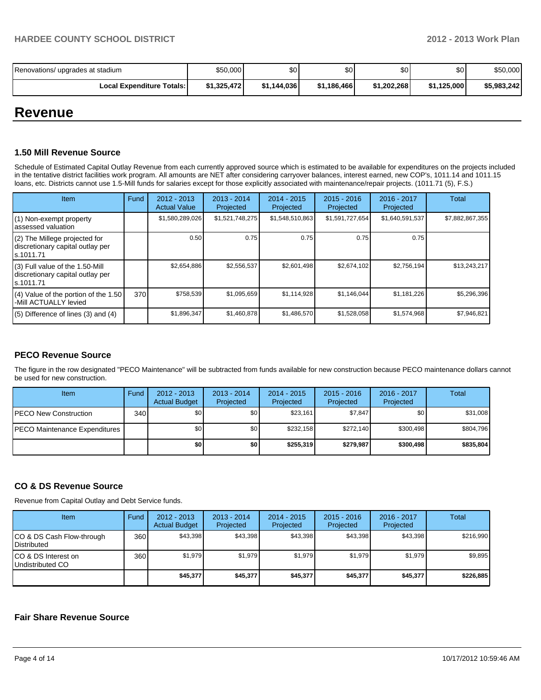| Renovations/ upgrades at stadium   | \$50,000    | \$0         | \$0         | \$0 <sub>1</sub> | \$0         | \$50,000    |
|------------------------------------|-------------|-------------|-------------|------------------|-------------|-------------|
| <b>Local Expenditure Totals: I</b> | \$1,325,472 | \$1.144.036 | \$1.186.466 | \$1.202.268      | \$1.125.000 | \$5,983,242 |

### **Revenue**

#### **1.50 Mill Revenue Source**

Schedule of Estimated Capital Outlay Revenue from each currently approved source which is estimated to be available for expenditures on the projects included in the tentative district facilities work program. All amounts are NET after considering carryover balances, interest earned, new COP's, 1011.14 and 1011.15 loans, etc. Districts cannot use 1.5-Mill funds for salaries except for those explicitly associated with maintenance/repair projects. (1011.71 (5), F.S.)

| <b>Item</b>                                                                         | Fund | $2012 - 2013$<br><b>Actual Value</b> | $2013 - 2014$<br>Projected | $2014 - 2015$<br>Projected | $2015 - 2016$<br>Projected | $2016 - 2017$<br>Projected | Total           |
|-------------------------------------------------------------------------------------|------|--------------------------------------|----------------------------|----------------------------|----------------------------|----------------------------|-----------------|
| (1) Non-exempt property<br>lassessed valuation                                      |      | \$1,580,289,026                      | \$1,521,748,275            | \$1,548,510,863            | \$1,591,727,654            | \$1,640,591,537            | \$7,882,867,355 |
| (2) The Millege projected for<br>discretionary capital outlay per<br>ls.1011.71     |      | 0.50                                 | 0.75                       | 0.75                       | 0.75                       | 0.75                       |                 |
| $(3)$ Full value of the 1.50-Mill<br>discretionary capital outlay per<br>ls.1011.71 |      | \$2,654,886                          | \$2,556,537                | \$2,601,498                | \$2,674,102                | \$2,756,194                | \$13,243,217    |
| $(4)$ Value of the portion of the 1.50<br>-Mill ACTUALLY levied                     | 370  | \$758,539                            | \$1,095,659                | \$1,114,928                | \$1,146,044                | \$1,181,226                | \$5,296,396     |
| $(5)$ Difference of lines (3) and (4)                                               |      | \$1,896,347                          | \$1.460.878                | \$1,486,570                | \$1,528,058                | \$1,574,968                | \$7,946,821     |

#### **PECO Revenue Source**

The figure in the row designated "PECO Maintenance" will be subtracted from funds available for new construction because PECO maintenance dollars cannot be used for new construction.

| <b>Item</b>                           | Fund | $2012 - 2013$<br><b>Actual Budget</b> | $2013 - 2014$<br>Projected | 2014 - 2015<br>Projected | $2015 - 2016$<br>Projected | $2016 - 2017$<br>Projected | Total     |
|---------------------------------------|------|---------------------------------------|----------------------------|--------------------------|----------------------------|----------------------------|-----------|
| <b>PECO New Construction</b>          | 340  | \$O I                                 | \$0                        | \$23,161                 | \$7,847                    | \$0                        | \$31,008  |
| <b>IPECO Maintenance Expenditures</b> |      | \$O I                                 | \$0 <sub>1</sub>           | \$232.158                | \$272.140                  | \$300.498                  | \$804,796 |
|                                       |      | \$0                                   | \$0                        | \$255,319                | \$279,987                  | \$300,498                  | \$835,804 |

#### **CO & DS Revenue Source**

Revenue from Capital Outlay and Debt Service funds.

| Item                                            | Fund | $2012 - 2013$<br><b>Actual Budget</b> | $2013 - 2014$<br>Projected | $2014 - 2015$<br>Projected | $2015 - 2016$<br>Projected | $2016 - 2017$<br>Projected | Total     |
|-------------------------------------------------|------|---------------------------------------|----------------------------|----------------------------|----------------------------|----------------------------|-----------|
| CO & DS Cash Flow-through<br><b>Distributed</b> | 360  | \$43.398                              | \$43,398                   | \$43.398                   | \$43.398                   | \$43.398                   | \$216,990 |
| CO & DS Interest on<br>Undistributed CO         | 360  | \$1,979                               | \$1,979                    | \$1,979                    | \$1.979                    | \$1,979                    | \$9,895   |
|                                                 |      | \$45,377                              | \$45,377                   | \$45,377                   | \$45,377                   | \$45,377                   | \$226,885 |

#### **Fair Share Revenue Source**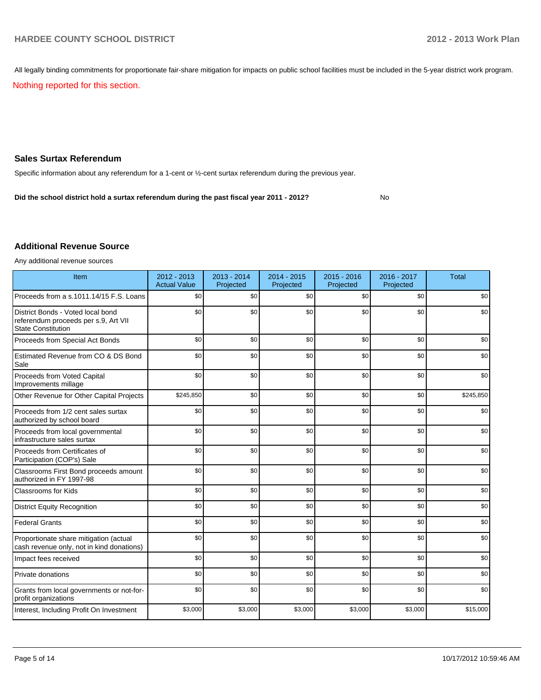All legally binding commitments for proportionate fair-share mitigation for impacts on public school facilities must be included in the 5-year district work program.

Nothing reported for this section.

#### **Sales Surtax Referendum**

Specific information about any referendum for a 1-cent or ½-cent surtax referendum during the previous year.

No **Did the school district hold a surtax referendum during the past fiscal year 2011 - 2012?**

#### **Additional Revenue Source**

Any additional revenue sources

| Item                                                                                                   | 2012 - 2013<br><b>Actual Value</b> | $2013 - 2014$<br>Projected | 2014 - 2015<br>Projected | $2015 - 2016$<br>Projected | 2016 - 2017<br>Projected | <b>Total</b> |
|--------------------------------------------------------------------------------------------------------|------------------------------------|----------------------------|--------------------------|----------------------------|--------------------------|--------------|
| Proceeds from a s.1011.14/15 F.S. Loans                                                                | \$0                                | \$0                        | \$0                      | \$0                        | \$0                      | \$0          |
| District Bonds - Voted local bond<br>referendum proceeds per s.9, Art VII<br><b>State Constitution</b> | \$0                                | \$0                        | \$0                      | \$0                        | \$0                      | \$0          |
| Proceeds from Special Act Bonds                                                                        | \$0                                | \$0                        | \$0                      | \$0                        | \$0                      | \$0          |
| Estimated Revenue from CO & DS Bond<br>Sale                                                            | \$0                                | \$0                        | \$0                      | \$0                        | \$0                      | \$0          |
| Proceeds from Voted Capital<br>Improvements millage                                                    | \$0                                | \$0                        | \$0                      | \$0                        | \$0                      | \$0          |
| Other Revenue for Other Capital Projects                                                               | \$245,850                          | \$0                        | \$0                      | \$0                        | \$0                      | \$245,850    |
| Proceeds from 1/2 cent sales surtax<br>authorized by school board                                      | \$0                                | \$0                        | \$0                      | \$0                        | \$0                      | \$0          |
| Proceeds from local governmental<br>infrastructure sales surtax                                        | \$0                                | \$0                        | \$0                      | \$0                        | \$0                      | \$0          |
| Proceeds from Certificates of<br>Participation (COP's) Sale                                            | \$0                                | \$0                        | \$0                      | \$0                        | \$0                      | \$0          |
| Classrooms First Bond proceeds amount<br>authorized in FY 1997-98                                      | \$0                                | \$0                        | \$0                      | \$0                        | \$0                      | \$0          |
| <b>Classrooms for Kids</b>                                                                             | \$0                                | \$0                        | \$0                      | \$0                        | \$0                      | \$0          |
| <b>District Equity Recognition</b>                                                                     | \$0                                | \$0                        | \$0                      | \$0                        | \$0                      | \$0          |
| <b>Federal Grants</b>                                                                                  | \$0                                | \$0                        | \$0                      | \$0                        | \$0                      | \$0          |
| Proportionate share mitigation (actual<br>cash revenue only, not in kind donations)                    | \$0                                | \$0                        | \$0                      | \$0                        | \$0                      | \$0          |
| Impact fees received                                                                                   | \$0                                | \$0                        | \$0                      | \$0                        | \$0                      | \$0          |
| Private donations                                                                                      | \$0                                | \$0                        | \$0                      | \$0                        | \$0                      | \$0          |
| Grants from local governments or not-for-<br>profit organizations                                      | \$0                                | \$0                        | \$0                      | \$0                        | \$0                      | \$0          |
| Interest, Including Profit On Investment                                                               | \$3,000                            | \$3,000                    | \$3,000                  | \$3,000                    | \$3,000                  | \$15,000     |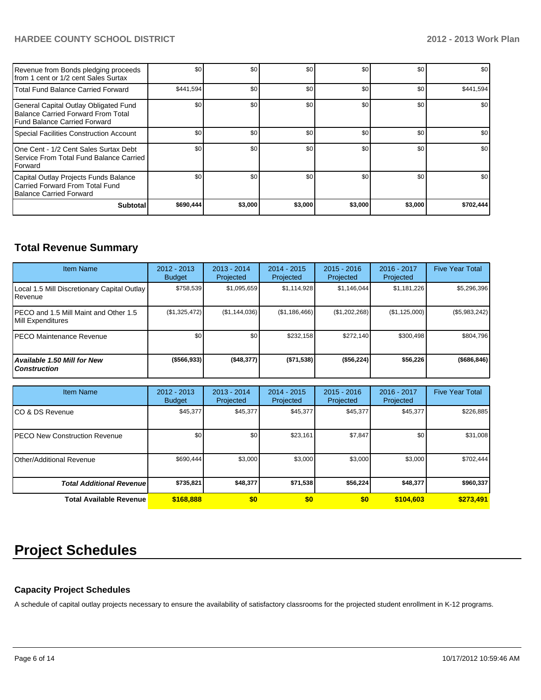#### **HARDEE COUNTY SCHOOL DISTRICT 2012 - 2013 Work Plan**

| Revenue from Bonds pledging proceeds<br>Ifrom 1 cent or 1/2 cent Sales Surtax                               | \$0       | \$0     | \$0     | \$0     | \$0     | \$0       |
|-------------------------------------------------------------------------------------------------------------|-----------|---------|---------|---------|---------|-----------|
| Total Fund Balance Carried Forward                                                                          | \$441,594 | \$0     | \$0     | \$0     | \$0     | \$441,594 |
| General Capital Outlay Obligated Fund<br>Balance Carried Forward From Total<br>Fund Balance Carried Forward | \$0       | \$0     | \$0     | \$0     | \$0     | \$0       |
| Special Facilities Construction Account                                                                     | \$0       | \$0     | \$0     | \$0     | \$0     | \$0       |
| One Cent - 1/2 Cent Sales Surtax Debt<br>Service From Total Fund Balance Carried<br><b>IForward</b>         | \$0       | \$0     | \$0     | \$0     | \$0     | \$0       |
| Capital Outlay Projects Funds Balance<br>Carried Forward From Total Fund<br>Balance Carried Forward         | \$0       | \$0     | \$0     | \$0     | \$0     | \$0       |
| <b>Subtotal</b>                                                                                             | \$690,444 | \$3,000 | \$3,000 | \$3,000 | \$3,000 | \$702,444 |

### **Total Revenue Summary**

| <b>Item Name</b>                                            | $2012 - 2013$<br><b>Budget</b> | $2013 - 2014$<br>Projected | 2014 - 2015<br>Projected | $2015 - 2016$<br>Projected | $2016 - 2017$<br>Projected | <b>Five Year Total</b> |
|-------------------------------------------------------------|--------------------------------|----------------------------|--------------------------|----------------------------|----------------------------|------------------------|
| Local 1.5 Mill Discretionary Capital Outlay<br>l Revenue    | \$758.539                      | \$1,095,659                | \$1,114,928              | \$1,146,044                | \$1,181,226                | \$5,296,396            |
| IPECO and 1.5 Mill Maint and Other 1.5<br>Mill Expenditures | (\$1,325,472)                  | (S1, 144, 036)             | (\$1,186,466)            | (S1.202.268)               | (\$1,125,000)              | $(\$5,983,242)$        |
| <b>IPECO Maintenance Revenue</b>                            | \$0                            | \$0                        | \$232.158                | \$272.140                  | \$300.498                  | \$804.796              |
| <b>Available 1.50 Mill for New</b><br><b>Construction</b>   | ( \$566, 933]                  | ( \$48,377]                | ( \$71, 538)             | (\$56,224)                 | \$56,226                   | ( \$686, 846)          |

| <b>Item Name</b>                      | $2012 - 2013$<br><b>Budget</b> | $2013 - 2014$<br>Projected | $2014 - 2015$<br>Projected | $2015 - 2016$<br>Projected | 2016 - 2017<br>Projected | <b>Five Year Total</b> |
|---------------------------------------|--------------------------------|----------------------------|----------------------------|----------------------------|--------------------------|------------------------|
| ICO & DS Revenue                      | \$45,377                       | \$45,377                   | \$45,377                   | \$45,377                   | \$45,377                 | \$226,885              |
| <b>IPECO New Construction Revenue</b> | \$0                            | \$0                        | \$23,161                   | \$7,847                    | \$0                      | \$31,008               |
| Other/Additional Revenue              | \$690,444                      | \$3,000                    | \$3,000                    | \$3,000                    | \$3,000                  | \$702,444              |
| <b>Total Additional Revenuel</b>      | \$735,821                      | \$48,377                   | \$71,538                   | \$56,224                   | \$48,377                 | \$960,337              |
| <b>Total Available Revenue</b>        | \$168,888                      | \$0                        | \$0                        | \$0                        | \$104,603                | \$273,491              |

## **Project Schedules**

#### **Capacity Project Schedules**

A schedule of capital outlay projects necessary to ensure the availability of satisfactory classrooms for the projected student enrollment in K-12 programs.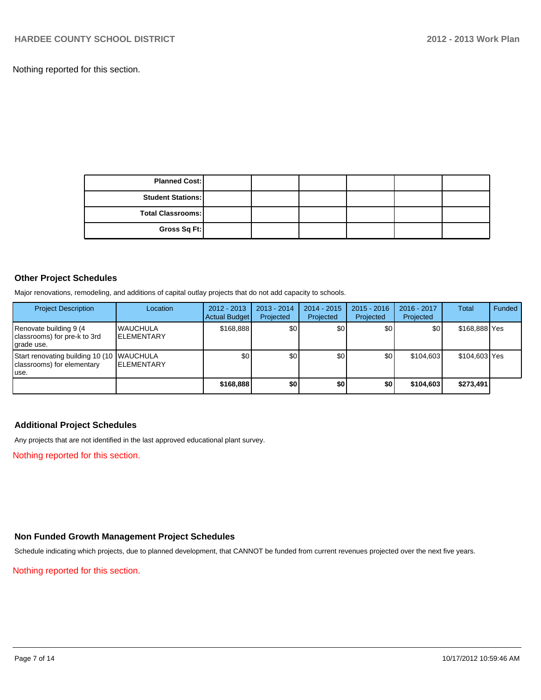Nothing reported for this section.

| <b>Planned Cost:</b>     |  |  |  |
|--------------------------|--|--|--|
| <b>Student Stations:</b> |  |  |  |
| Total Classrooms:        |  |  |  |
| Gross Sq Ft:             |  |  |  |

#### **Other Project Schedules**

Major renovations, remodeling, and additions of capital outlay projects that do not add capacity to schools.

| <b>Project Description</b>                                                        | Location                              | $2012 - 2013$<br><b>Actual Budget</b> | $2013 - 2014$<br>Projected | 2014 - 2015<br>Projected | $2015 - 2016$<br>Projected | 2016 - 2017<br>Projected | <b>Total</b>  | Funded |
|-----------------------------------------------------------------------------------|---------------------------------------|---------------------------------------|----------------------------|--------------------------|----------------------------|--------------------------|---------------|--------|
| Renovate building 9 (4)<br>classrooms) for pre-k to 3rd<br>grade use.             | <b>WAUCHULA</b><br><b>IELEMENTARY</b> | \$168,888                             | \$0                        | \$0                      | \$0                        | \$0                      | \$168,888 Yes |        |
| Start renovating building 10 (10   WAUCHULA<br>classrooms) for elementary<br>use. | <b>IELEMENTARY</b>                    | \$0                                   | \$0                        | \$0                      | <b>SO</b>                  | \$104.603                | \$104,603 Yes |        |
|                                                                                   |                                       | \$168,888                             | \$0                        | \$0                      | \$0                        | \$104.603                | \$273,491     |        |

#### **Additional Project Schedules**

Any projects that are not identified in the last approved educational plant survey.

Nothing reported for this section.

#### **Non Funded Growth Management Project Schedules**

Schedule indicating which projects, due to planned development, that CANNOT be funded from current revenues projected over the next five years.

Nothing reported for this section.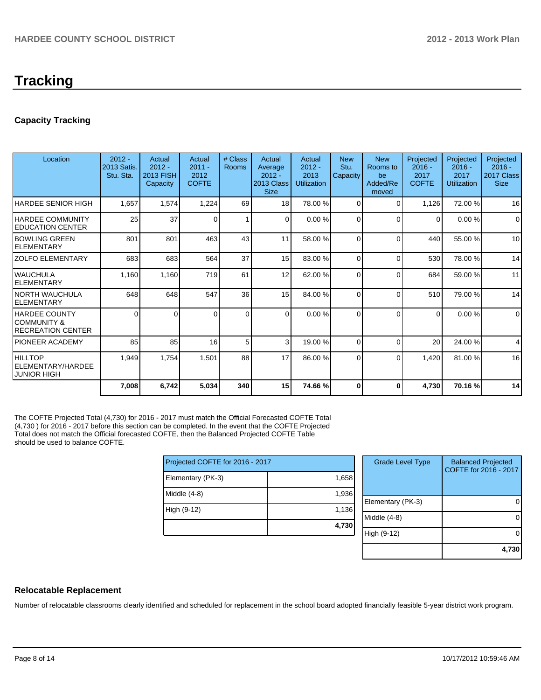# **Tracking**

#### **Capacity Tracking**

| Location                                                  | $2012 -$<br>2013 Satis.<br>Stu. Sta. | Actual<br>$2012 -$<br>2013 FISH<br>Capacity | Actual<br>$2011 -$<br>2012<br><b>COFTE</b> | # Class<br><b>Rooms</b> | Actual<br>Average<br>$2012 -$<br>2013 Class<br><b>Size</b> | Actual<br>$2012 -$<br>2013<br><b>Utilization</b> | <b>New</b><br>Stu.<br>Capacity | <b>New</b><br>Rooms to<br>be<br>Added/Re<br>moved | Projected<br>$2016 -$<br>2017<br><b>COFTE</b> | Projected<br>$2016 -$<br>2017<br>Utilization | Projected<br>$2016 -$<br>2017 Class<br><b>Size</b> |
|-----------------------------------------------------------|--------------------------------------|---------------------------------------------|--------------------------------------------|-------------------------|------------------------------------------------------------|--------------------------------------------------|--------------------------------|---------------------------------------------------|-----------------------------------------------|----------------------------------------------|----------------------------------------------------|
| HARDEE SENIOR HIGH                                        | 1,657                                | 1,574                                       | 1,224                                      | 69                      | 18                                                         | 78.00 %                                          | 0                              | 0                                                 | 1,126                                         | 72.00 %                                      | 16                                                 |
| <b>IHARDEE COMMUNITY</b><br><b>EDUCATION CENTER</b>       | 25                                   | 37                                          | 0                                          | 1                       | $\Omega$                                                   | 0.00 %                                           | $\Omega$                       | $\Omega$                                          | $\Omega$                                      | 0.00%                                        | $\Omega$                                           |
| <b>IBOWLING GREEN</b><br><b>ELEMENTARY</b>                | 801                                  | 801                                         | 463                                        | 43                      | 11                                                         | 58.00 %                                          | $\Omega$                       | $\Omega$                                          | 440                                           | 55.00 %                                      | 10                                                 |
| <b>ZOLFO ELEMENTARY</b>                                   | 683                                  | 683                                         | 564                                        | 37                      | 15                                                         | 83.00 %                                          | $\Omega$                       | $\Omega$                                          | 530                                           | 78.00 %                                      | 14                                                 |
| IWAUCHULA<br><b>ELEMENTARY</b>                            | 1,160                                | 1,160                                       | 719                                        | 61                      | 12                                                         | 62.00 %                                          | $\Omega$                       | $\Omega$                                          | 684                                           | 59.00 %                                      | 11                                                 |
| INORTH WAUCHULA<br>IELEMENTARY                            | 648                                  | 648                                         | 547                                        | 36                      | 15                                                         | 84.00 %                                          | $\Omega$                       | $\Omega$                                          | 510                                           | 79.00 %                                      | 14                                                 |
| HARDEE COUNTY<br>ICOMMUNITY &<br><b>RECREATION CENTER</b> | $\Omega$                             | ΩI                                          |                                            | $\Omega$                | $\Omega$                                                   | 0.00%                                            | 0                              | $\Omega$                                          | $\Omega$                                      | 0.00%                                        | $\mathbf 0$                                        |
| <b>PIONEER ACADEMY</b>                                    | 85                                   | 85                                          | 16                                         | 5                       | 3                                                          | 19.00 %                                          | $\Omega$                       | $\Omega$                                          | 20                                            | 24.00 %                                      | 4                                                  |
| <b>HILLTOP</b><br>ELEMENTARY/HARDEE<br><b>JUNIOR HIGH</b> | 1,949                                | 1,754                                       | 1,501                                      | 88                      | 17                                                         | 86.00 %                                          | $\Omega$                       | $\Omega$                                          | 1,420                                         | 81.00%                                       | 16                                                 |
|                                                           | 7,008                                | 6,742                                       | 5,034                                      | 340                     | 15                                                         | 74.66 %                                          | 0                              | 0                                                 | 4,730                                         | 70.16%                                       | 14                                                 |

The COFTE Projected Total (4,730) for 2016 - 2017 must match the Official Forecasted COFTE Total (4,730 ) for 2016 - 2017 before this section can be completed. In the event that the COFTE Projected Total does not match the Official forecasted COFTE, then the Balanced Projected COFTE Table should be used to balance COFTE.

| Projected COFTE for 2016 - 2017 |       |    |  |
|---------------------------------|-------|----|--|
| Elementary (PK-3)               | 1,658 |    |  |
| Middle (4-8)                    | 1,936 | EI |  |
| High (9-12)                     | 1,136 | M  |  |
|                                 | 4,730 |    |  |

| <b>Grade Level Type</b> | <b>Balanced Projected</b><br>COFTE for 2016 - 2017 |
|-------------------------|----------------------------------------------------|
| Elementary (PK-3)       |                                                    |
| Middle (4-8)            |                                                    |
| High (9-12)             |                                                    |
|                         | 4,730                                              |

#### **Relocatable Replacement**

Number of relocatable classrooms clearly identified and scheduled for replacement in the school board adopted financially feasible 5-year district work program.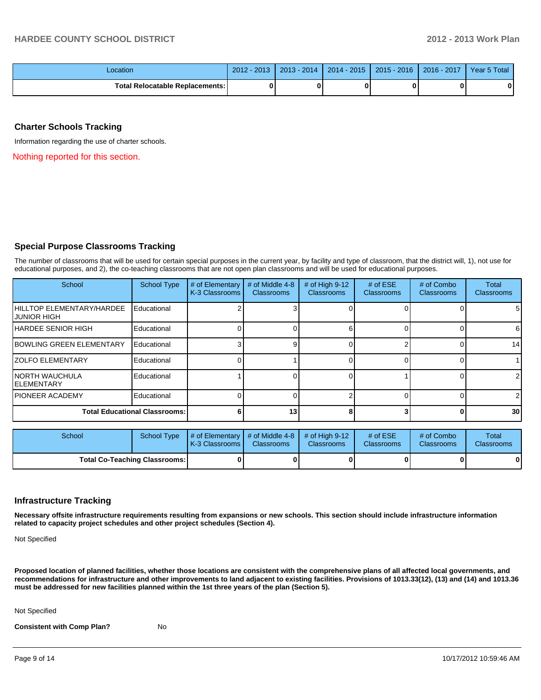| Location                                 | $-2013$<br>$2012 -$ | $2013 - 2014$ | 2014 - 2015 | $2015 - 2016$ | 2016 - 2017 | Year 5 Total |
|------------------------------------------|---------------------|---------------|-------------|---------------|-------------|--------------|
| <b>Total Relocatable Replacements: I</b> |                     |               |             |               |             | 0            |

#### **Charter Schools Tracking**

Information regarding the use of charter schools.

Nothing reported for this section.

#### **Special Purpose Classrooms Tracking**

The number of classrooms that will be used for certain special purposes in the current year, by facility and type of classroom, that the district will, 1), not use for educational purposes, and 2), the co-teaching classrooms that are not open plan classrooms and will be used for educational purposes.

| School                                                  | <b>School Type</b> | # of Elementary<br>K-3 Classrooms | # of Middle 4-8<br><b>Classrooms</b> | # of High $9-12$<br><b>Classrooms</b> | # of $ESE$<br><b>Classrooms</b> | # of Combo<br><b>Classrooms</b> | <b>Total</b><br><b>Classrooms</b> |
|---------------------------------------------------------|--------------------|-----------------------------------|--------------------------------------|---------------------------------------|---------------------------------|---------------------------------|-----------------------------------|
| <b>IHILLTOP ELEMENTARY/HARDEE</b><br><b>JUNIOR HIGH</b> | Educational        |                                   |                                      |                                       |                                 |                                 | 5 <sub>l</sub>                    |
| <b>IHARDEE SENIOR HIGH</b>                              | Educational        |                                   |                                      |                                       |                                 |                                 | 6                                 |
| <b>IBOWLING GREEN ELEMENTARY</b>                        | Educational        |                                   |                                      |                                       |                                 |                                 | 14                                |
| <b>IZOLFO ELEMENTARY</b>                                | Educational        |                                   |                                      |                                       |                                 |                                 |                                   |
| <b>INORTH WAUCHULA</b><br><b>IELEMENTARY</b>            | Educational        |                                   |                                      |                                       |                                 |                                 | $\overline{2}$                    |
| <b>IPIONEER ACADEMY</b>                                 | Educational        |                                   |                                      |                                       |                                 |                                 | $\overline{2}$                    |
| <b>Total Educational Classrooms:</b>                    |                    |                                   | 13                                   |                                       |                                 | <sup>0</sup>                    | 30 <sup>1</sup>                   |

| School                               | School Type | # of Elementary  # of Middle 4-8  # of High 9-12<br><b>IK-3 Classrooms I</b> | <b>Classrooms</b> | <b>Classrooms</b> | $#$ of $ESE$<br><b>Classrooms</b> | # of Combo<br><b>Classrooms</b> | Total<br><b>Classrooms</b> |
|--------------------------------------|-------------|------------------------------------------------------------------------------|-------------------|-------------------|-----------------------------------|---------------------------------|----------------------------|
| <b>Total Co-Teaching Classrooms:</b> |             |                                                                              |                   |                   |                                   | 0                               | 0                          |

#### **Infrastructure Tracking**

**Necessary offsite infrastructure requirements resulting from expansions or new schools. This section should include infrastructure information related to capacity project schedules and other project schedules (Section 4).**

Not Specified

**Proposed location of planned facilities, whether those locations are consistent with the comprehensive plans of all affected local governments, and recommendations for infrastructure and other improvements to land adjacent to existing facilities. Provisions of 1013.33(12), (13) and (14) and 1013.36 must be addressed for new facilities planned within the 1st three years of the plan (Section 5).**

Not Specified

**Consistent with Comp Plan?** No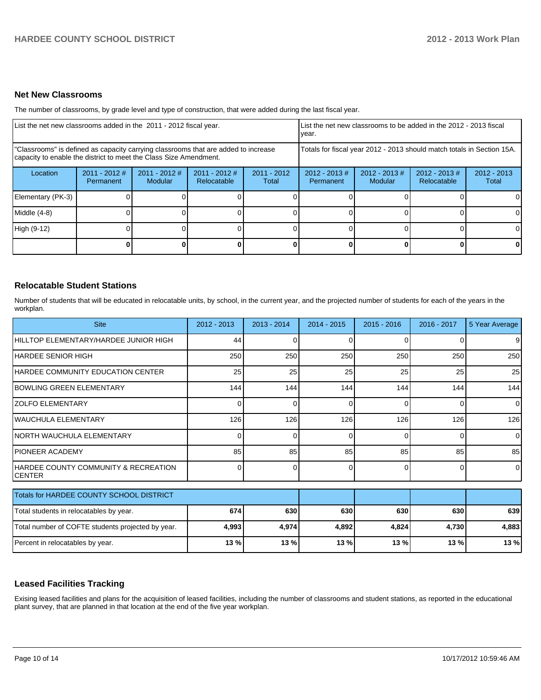#### **Net New Classrooms**

The number of classrooms, by grade level and type of construction, that were added during the last fiscal year.

| List the net new classrooms added in the 2011 - 2012 fiscal year.                                                                                       |                              |                            |                                |                                                                        | I List the net new classrooms to be added in the 2012 - 2013 fiscal<br>Ivear. |                             |                                 |                        |
|---------------------------------------------------------------------------------------------------------------------------------------------------------|------------------------------|----------------------------|--------------------------------|------------------------------------------------------------------------|-------------------------------------------------------------------------------|-----------------------------|---------------------------------|------------------------|
| "Classrooms" is defined as capacity carrying classrooms that are added to increase<br>capacity to enable the district to meet the Class Size Amendment. |                              |                            |                                | Totals for fiscal year 2012 - 2013 should match totals in Section 15A. |                                                                               |                             |                                 |                        |
| Location                                                                                                                                                | $2011 - 2012$ #<br>Permanent | $2011 - 2012$ #<br>Modular | $2011 - 2012$ #<br>Relocatable | $2011 - 2012$<br>Total                                                 | $2012 - 2013 \#$<br>Permanent                                                 | $2012 - 2013 \#$<br>Modular | $2012 - 2013 \#$<br>Relocatable | $2012 - 2013$<br>Total |
| Elementary (PK-3)                                                                                                                                       |                              |                            |                                |                                                                        |                                                                               |                             |                                 | 0                      |
| Middle (4-8)                                                                                                                                            |                              |                            |                                |                                                                        |                                                                               |                             |                                 | 0                      |
| High (9-12)                                                                                                                                             |                              |                            |                                |                                                                        |                                                                               |                             |                                 | $\Omega$               |
|                                                                                                                                                         |                              |                            |                                |                                                                        |                                                                               |                             |                                 | 0                      |

#### **Relocatable Student Stations**

Number of students that will be educated in relocatable units, by school, in the current year, and the projected number of students for each of the years in the workplan.

| <b>Site</b>                                           | $2012 - 2013$ | $2013 - 2014$ | $2014 - 2015$ | $2015 - 2016$ | 2016 - 2017 | 5 Year Average |
|-------------------------------------------------------|---------------|---------------|---------------|---------------|-------------|----------------|
| HILLTOP ELEMENTARY/HARDEE JUNIOR HIGH                 | 44            | 0             |               |               |             | 9              |
| HARDEE SENIOR HIGH                                    | 250           | 250           | 250           | 250           | 250         | 250            |
| HARDEE COMMUNITY EDUCATION CENTER                     | 25            | 25            | 25            | 25            | 25          | 25             |
| IBOWLING GREEN ELEMENTARY                             | 144           | 144           | 144           | 144           | 144         | 144            |
| IZOLFO ELEMENTARY                                     |               | 0             | 0             | $\Omega$      | 0           | $\Omega$       |
| WAUCHULA ELEMENTARY                                   | 126           | 126           | 126           | 126           | 126         | 126            |
| NORTH WAUCHULA ELEMENTARY                             | <sup>0</sup>  | 0             | 0             | 0             | 0           | $\Omega$       |
| <b>PIONEER ACADEMY</b>                                | 85            | 85            | 85            | 85            | 85          | 85             |
| HARDEE COUNTY COMMUNITY & RECREATION<br><b>CENTER</b> | <sup>0</sup>  | 0             | 0             | $\Omega$      | 0           | $\Omega$       |
| Totals for HARDEE COUNTY SCHOOL DISTRICT              |               |               |               |               |             |                |
| Total students in relocatables by year.               | 674           | 630           | 630           | 630           | 630         | 639            |
| Total number of COFTE students projected by year.     | 4,993         | 4,974         | 4,892         | 4,824         | 4,730       | 4,883          |
| Percent in relocatables by year.                      | 13 %          | 13 %          | 13 %          | 13 %          | 13 %        | 13 %           |

#### **Leased Facilities Tracking**

Exising leased facilities and plans for the acquisition of leased facilities, including the number of classrooms and student stations, as reported in the educational plant survey, that are planned in that location at the end of the five year workplan.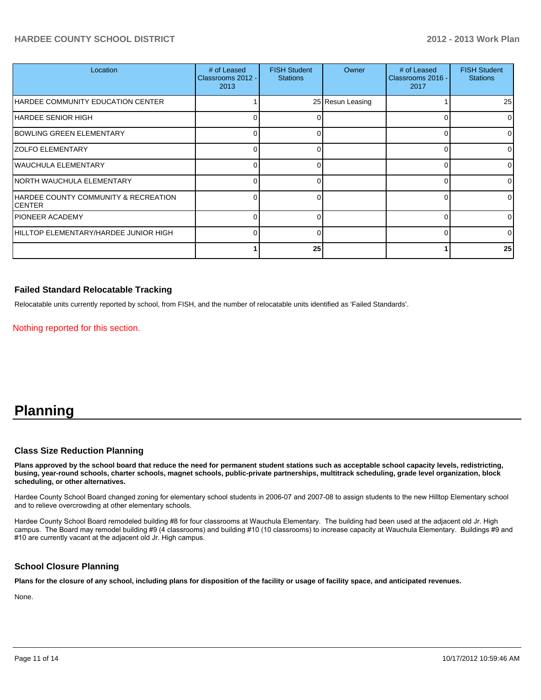#### **HARDEE COUNTY SCHOOL DISTRICT 2012 - 2013 Work Plan**

| Location                                        | # of Leased<br>Classrooms 2012 -<br>2013 | <b>FISH Student</b><br><b>Stations</b> | Owner            | # of Leased<br>Classrooms 2016 -<br>2017 | <b>FISH Student</b><br><b>Stations</b> |
|-------------------------------------------------|------------------------------------------|----------------------------------------|------------------|------------------------------------------|----------------------------------------|
| HARDEE COMMUNITY EDUCATION CENTER               |                                          |                                        | 25 Resun Leasing |                                          | 25                                     |
| IHARDEE SENIOR HIGH                             |                                          |                                        |                  |                                          | $\Omega$                               |
| BOWLING GREEN ELEMENTARY                        |                                          |                                        |                  |                                          | $\Omega$                               |
| <b>ZOLFO ELEMENTARY</b>                         |                                          |                                        |                  |                                          | 01                                     |
| WAUCHULA ELEMENTARY                             |                                          |                                        |                  |                                          | $\Omega$                               |
| NORTH WAUCHULA ELEMENTARY                       |                                          |                                        |                  |                                          | 01                                     |
| HARDEE COUNTY COMMUNITY & RECREATION<br>ICENTER |                                          |                                        |                  |                                          | 01                                     |
| IPIONEER ACADEMY                                |                                          |                                        |                  |                                          | $\Omega$                               |
| IHILLTOP ELEMENTARY/HARDEE JUNIOR HIGH          |                                          |                                        |                  |                                          | $\Omega$                               |
|                                                 |                                          | 25                                     |                  |                                          | 25                                     |

#### **Failed Standard Relocatable Tracking**

Relocatable units currently reported by school, from FISH, and the number of relocatable units identified as 'Failed Standards'.

Nothing reported for this section.

## **Planning**

#### **Class Size Reduction Planning**

**Plans approved by the school board that reduce the need for permanent student stations such as acceptable school capacity levels, redistricting, busing, year-round schools, charter schools, magnet schools, public-private partnerships, multitrack scheduling, grade level organization, block scheduling, or other alternatives.**

Hardee County School Board changed zoning for elementary school students in 2006-07 and 2007-08 to assign students to the new Hilltop Elementary school and to relieve overcrowding at other elementary schools.

Hardee County School Board remodeled building #8 for four classrooms at Wauchula Elementary. The building had been used at the adjacent old Jr. High campus. The Board may remodel building #9 (4 classrooms) and building #10 (10 classrooms) to increase capacity at Wauchula Elementary. Buildings #9 and #10 are currently vacant at the adjacent old Jr. High campus.

#### **School Closure Planning**

**Plans for the closure of any school, including plans for disposition of the facility or usage of facility space, and anticipated revenues.**

None.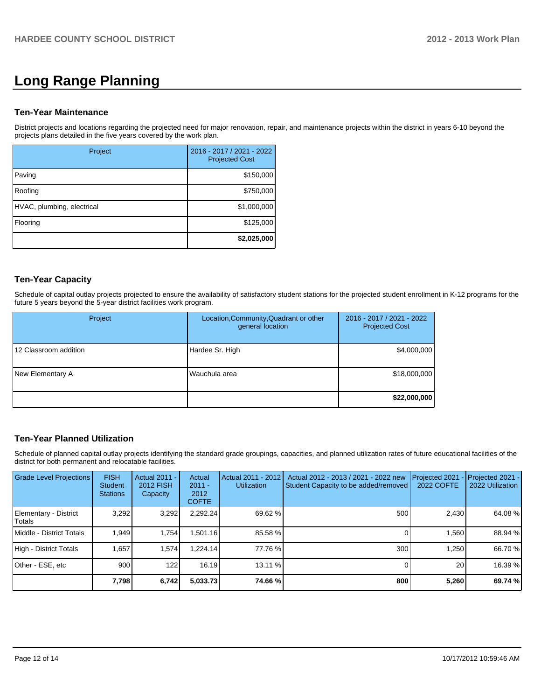# **Long Range Planning**

#### **Ten-Year Maintenance**

District projects and locations regarding the projected need for major renovation, repair, and maintenance projects within the district in years 6-10 beyond the projects plans detailed in the five years covered by the work plan.

| Project                    | 2016 - 2017 / 2021 - 2022<br><b>Projected Cost</b> |
|----------------------------|----------------------------------------------------|
| Paving                     | \$150,000                                          |
| Roofing                    | \$750,000                                          |
| HVAC, plumbing, electrical | \$1,000,000                                        |
| Flooring                   | \$125,000                                          |
|                            | \$2,025,000                                        |

#### **Ten-Year Capacity**

Schedule of capital outlay projects projected to ensure the availability of satisfactory student stations for the projected student enrollment in K-12 programs for the future 5 years beyond the 5-year district facilities work program.

| Project               | Location, Community, Quadrant or other<br>general location | 2016 - 2017 / 2021 - 2022<br><b>Projected Cost</b> |  |
|-----------------------|------------------------------------------------------------|----------------------------------------------------|--|
| 12 Classroom addition | Hardee Sr. High                                            | \$4,000,000                                        |  |
| New Elementary A      | Wauchula area                                              | \$18,000,000                                       |  |
|                       |                                                            | \$22,000,000                                       |  |

#### **Ten-Year Planned Utilization**

Schedule of planned capital outlay projects identifying the standard grade groupings, capacities, and planned utilization rates of future educational facilities of the district for both permanent and relocatable facilities.

| Grade Level Projections         | <b>FISH</b><br>Student<br><b>Stations</b> | <b>Actual 2011 -</b><br>2012 FISH<br>Capacity | Actual<br>$2011 -$<br>2012<br><b>COFTE</b> | Actual 2011 - 2012<br><b>Utilization</b> | Actual 2012 - 2013 / 2021 - 2022 new<br>Student Capacity to be added/removed | Projected 2021<br>2022 COFTE | Projected 2021 -<br>2022 Utilization |
|---------------------------------|-------------------------------------------|-----------------------------------------------|--------------------------------------------|------------------------------------------|------------------------------------------------------------------------------|------------------------------|--------------------------------------|
| Elementary - District<br>Totals | 3,292                                     | 3,292                                         | 2,292.24                                   | 69.62 %                                  | 500                                                                          | 2,430                        | 64.08 %                              |
| Middle - District Totals        | 1.949                                     | 1.754                                         | .501.16                                    | 85.58 %                                  |                                                                              | 1.560                        | 88.94 %                              |
| High - District Totals          | 1.657                                     | 1.574                                         | .224.14                                    | 77.76 %                                  | 300                                                                          | 1.250                        | 66.70 %                              |
| Other - ESE, etc                | 900                                       | 122                                           | 16.19                                      | $13.11\%$                                |                                                                              | 20                           | 16.39 %                              |
|                                 | 7,798                                     | 6,742                                         | 5,033.73                                   | 74.66 %                                  | 800                                                                          | 5,260                        | 69.74 %                              |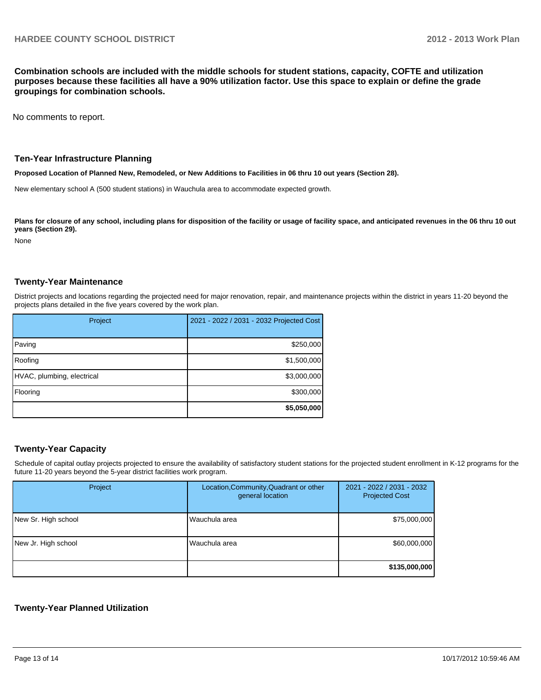**Combination schools are included with the middle schools for student stations, capacity, COFTE and utilization purposes because these facilities all have a 90% utilization factor. Use this space to explain or define the grade groupings for combination schools.**

No comments to report.

#### **Ten-Year Infrastructure Planning**

**Proposed Location of Planned New, Remodeled, or New Additions to Facilities in 06 thru 10 out years (Section 28).**

New elementary school A (500 student stations) in Wauchula area to accommodate expected growth.

Plans for closure of any school, including plans for disposition of the facility or usage of facility space, and anticipated revenues in the 06 thru 10 out **years (Section 29).**

None

#### **Twenty-Year Maintenance**

District projects and locations regarding the projected need for major renovation, repair, and maintenance projects within the district in years 11-20 beyond the projects plans detailed in the five years covered by the work plan.

| Project                    | 2021 - 2022 / 2031 - 2032 Projected Cost |
|----------------------------|------------------------------------------|
| Paving                     | \$250,000                                |
| Roofing                    | \$1,500,000                              |
| HVAC, plumbing, electrical | \$3,000,000                              |
| Flooring                   | \$300,000                                |
|                            | \$5,050,000                              |

#### **Twenty-Year Capacity**

Schedule of capital outlay projects projected to ensure the availability of satisfactory student stations for the projected student enrollment in K-12 programs for the future 11-20 years beyond the 5-year district facilities work program.

| Project             | Location, Community, Quadrant or other<br>general location | 2021 - 2022 / 2031 - 2032<br><b>Projected Cost</b> |
|---------------------|------------------------------------------------------------|----------------------------------------------------|
| New Sr. High school | Wauchula area                                              | \$75,000,000                                       |
| New Jr. High school | Wauchula area                                              | \$60,000,000                                       |
|                     |                                                            | \$135,000,000                                      |

#### **Twenty-Year Planned Utilization**